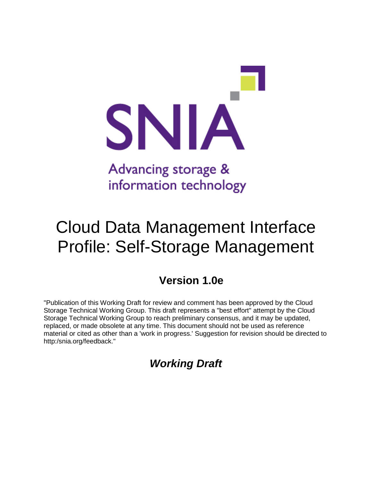

# Cloud Data Management Interface Profile: Self-Storage Management

# **Version 1.0e**

"Publication of this Working Draft for review and comment has been approved by the Cloud Storage Technical Working Group. This draft represents a "best effort" attempt by the Cloud Storage Technical Working Group to reach preliminary consensus, and it may be updated, replaced, or made obsolete at any time. This document should not be used as reference material or cited as other than a 'work in progress.' Suggestion for revision should be directed to http:/snia.org/feedback."

## *Working Draft*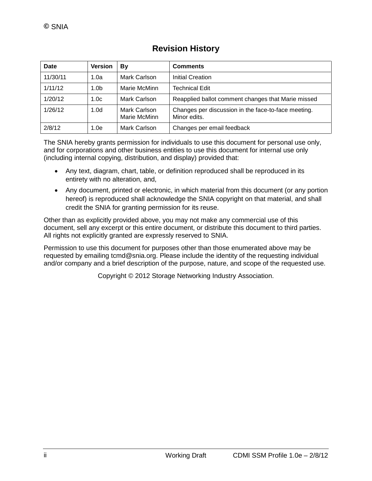| Date     | <b>Version</b>   | By                           | <b>Comments</b>                                                     |
|----------|------------------|------------------------------|---------------------------------------------------------------------|
| 11/30/11 | 1.0a             | Mark Carlson                 | <b>Initial Creation</b>                                             |
| 1/11/12  | 1.0 <sub>b</sub> | Marie McMinn                 | <b>Technical Edit</b>                                               |
| 1/20/12  | 1.0 <sub>c</sub> | Mark Carlson                 | Reapplied ballot comment changes that Marie missed                  |
| 1/26/12  | 1.0 <sub>d</sub> | Mark Carlson<br>Marie McMinn | Changes per discussion in the face-to-face meeting.<br>Minor edits. |
| 2/8/12   | 1.0e             | Mark Carlson                 | Changes per email feedback                                          |

### **Revision History**

The SNIA hereby grants permission for individuals to use this document for personal use only, and for corporations and other business entities to use this document for internal use only (including internal copying, distribution, and display) provided that:

- Any text, diagram, chart, table, or definition reproduced shall be reproduced in its entirety with no alteration, and,
- Any document, printed or electronic, in which material from this document (or any portion hereof) is reproduced shall acknowledge the SNIA copyright on that material, and shall credit the SNIA for granting permission for its reuse.

Other than as explicitly provided above, you may not make any commercial use of this document, sell any excerpt or this entire document, or distribute this document to third parties. All rights not explicitly granted are expressly reserved to SNIA.

Permission to use this document for purposes other than those enumerated above may be requested by emailing tcmd@snia.org. Please include the identity of the requesting individual and/or company and a brief description of the purpose, nature, and scope of the requested use.

Copyright © 2012 Storage Networking Industry Association.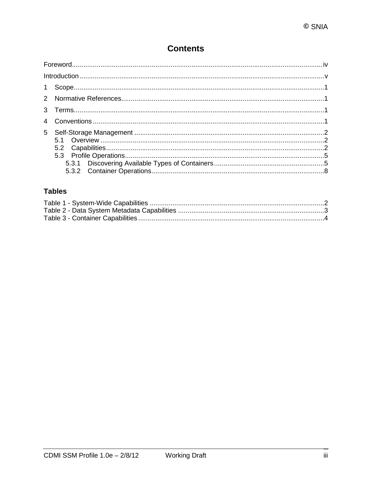### **Contents**

### **Tables**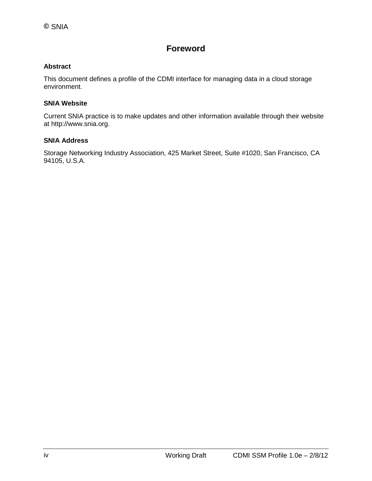### **Foreword**

#### **Abstract**

This document defines a profile of the CDMI interface for managing data in a cloud storage environment.

#### **SNIA Website**

Current SNIA practice is to make updates and other information available through their website at http://www.snia.org.

#### **SNIA Address**

Storage Networking Industry Association, 425 Market Street, Suite #1020, San Francisco, CA 94105, U.S.A.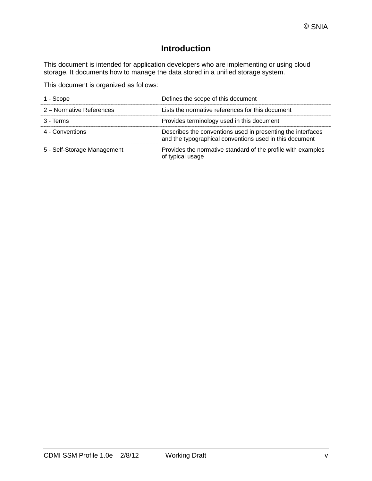### **Introduction**

This document is intended for application developers who are implementing or using cloud storage. It documents how to manage the data stored in a unified storage system.

This document is organized as follows:

| 1 - Scope                   | Defines the scope of this document                                                                                     |
|-----------------------------|------------------------------------------------------------------------------------------------------------------------|
| 2 – Normative References    | Lists the normative references for this document                                                                       |
| 3 - Terms                   | Provides terminology used in this document                                                                             |
| 4 - Conventions             | Describes the conventions used in presenting the interfaces<br>and the typographical conventions used in this document |
| 5 - Self-Storage Management | Provides the normative standard of the profile with examples<br>of typical usage                                       |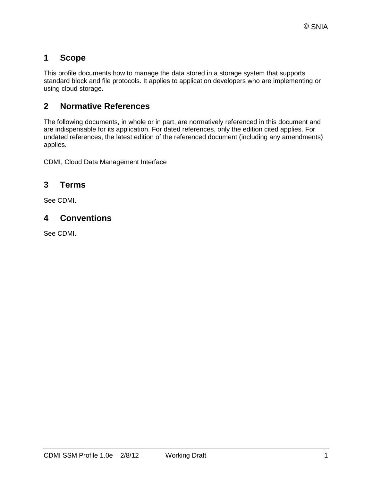### **1 Scope**

This profile documents how to manage the data stored in a storage system that supports standard block and file protocols. It applies to application developers who are implementing or using cloud storage.

### **2 Normative References**

The following documents, in whole or in part, are normatively referenced in this document and are indispensable for its application. For dated references, only the edition cited applies. For undated references, the latest edition of the referenced document (including any amendments) applies.

CDMI, Cloud Data Management Interface

### **3 Terms**

See CDMI.

### **4 Conventions**

See CDMI.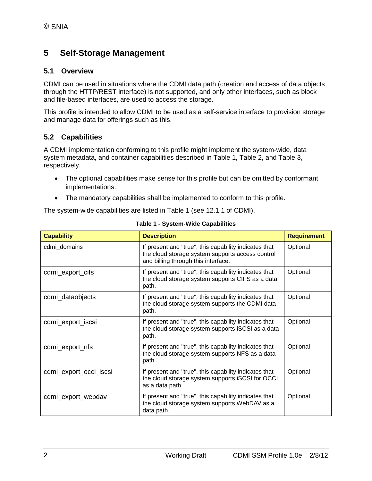### **5 Self-Storage Management**

### **5.1 Overview**

CDMI can be used in situations where the CDMI data path (creation and access of data objects through the HTTP/REST interface) is not supported, and only other interfaces, such as block and file-based interfaces, are used to access the storage.

This profile is intended to allow CDMI to be used as a self-service interface to provision storage and manage data for offerings such as this.

### **5.2 Capabilities**

A CDMI implementation conforming to this profile might implement the system-wide, data system metadata, and container capabilities described in [Table 1,](#page-7-0) [Table 2,](#page-8-0) and [Table 3,](#page-9-0) respectively.

- The optional capabilities make sense for this profile but can be omitted by conformant implementations.
- The mandatory capabilities shall be implemented to conform to this profile.

The system-wide capabilities are listed in [Table 1](#page-7-0) (see 12.1.1 of CDMI).

<span id="page-7-0"></span>

| <b>Capability</b>      | <b>Description</b>                                                                                                                               | <b>Requirement</b> |
|------------------------|--------------------------------------------------------------------------------------------------------------------------------------------------|--------------------|
| cdmi domains           | If present and "true", this capability indicates that<br>the cloud storage system supports access control<br>and billing through this interface. | Optional           |
| cdmi_export_cifs       | If present and "true", this capability indicates that<br>the cloud storage system supports CIFS as a data<br>path.                               | Optional           |
| cdmi_dataobjects       | If present and "true", this capability indicates that<br>the cloud storage system supports the CDMI data<br>path.                                | Optional           |
| cdmi_export_iscsi      | If present and "true", this capability indicates that<br>the cloud storage system supports iSCSI as a data<br>path.                              | Optional           |
| cdmi_export_nfs        | If present and "true", this capability indicates that<br>the cloud storage system supports NFS as a data<br>path.                                | Optional           |
| cdmi_export_occi_iscsi | If present and "true", this capability indicates that<br>the cloud storage system supports iSCSI for OCCI<br>as a data path.                     | Optional           |
| cdmi_export_webdav     | If present and "true", this capability indicates that<br>the cloud storage system supports WebDAV as a<br>data path.                             | Optional           |

**Table 1 - System-Wide Capabilities**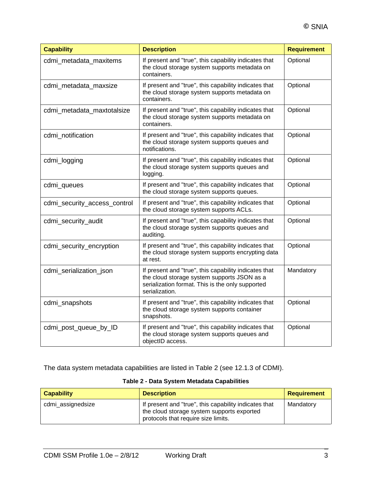| <b>Capability</b>            | <b>Description</b>                                                                                                                                                         | <b>Requirement</b> |
|------------------------------|----------------------------------------------------------------------------------------------------------------------------------------------------------------------------|--------------------|
| cdmi_metadata_maxitems       | If present and "true", this capability indicates that<br>the cloud storage system supports metadata on<br>containers.                                                      | Optional           |
| cdmi_metadata_maxsize        | If present and "true", this capability indicates that<br>the cloud storage system supports metadata on<br>containers.                                                      | Optional           |
| cdmi_metadata_maxtotalsize   | If present and "true", this capability indicates that<br>the cloud storage system supports metadata on<br>containers.                                                      | Optional           |
| cdmi_notification            | If present and "true", this capability indicates that<br>the cloud storage system supports queues and<br>notifications.                                                    | Optional           |
| cdmi_logging                 | If present and "true", this capability indicates that<br>the cloud storage system supports queues and<br>logging.                                                          | Optional           |
| cdmi_queues                  | If present and "true", this capability indicates that<br>the cloud storage system supports queues.                                                                         | Optional           |
| cdmi_security_access_control | If present and "true", this capability indicates that<br>the cloud storage system supports ACLs.                                                                           | Optional           |
| cdmi_security_audit          | If present and "true", this capability indicates that<br>the cloud storage system supports queues and<br>auditing.                                                         | Optional           |
| cdmi_security_encryption     | If present and "true", this capability indicates that<br>the cloud storage system supports encrypting data<br>at rest.                                                     | Optional           |
| cdmi_serialization_json      | If present and "true", this capability indicates that<br>the cloud storage system supports JSON as a<br>serialization format. This is the only supported<br>serialization. | Mandatory          |
| cdmi_snapshots               | If present and "true", this capability indicates that<br>the cloud storage system supports container<br>snapshots.                                                         | Optional           |
| cdmi_post_queue_by_ID        | If present and "true", this capability indicates that<br>the cloud storage system supports queues and<br>objectID access.                                                  | Optional           |

The data system metadata capabilities are listed in [Table 2](#page-8-0) (see 12.1.3 of CDMI).

### **Table 2 - Data System Metadata Capabilities**

<span id="page-8-0"></span>

| <b>Capability</b> | <b>Description</b>                                                                                                                         | <b>Requirement</b> |
|-------------------|--------------------------------------------------------------------------------------------------------------------------------------------|--------------------|
| cdmi_assignedsize | If present and "true", this capability indicates that<br>the cloud storage system supports exported<br>protocols that require size limits. | Mandatory          |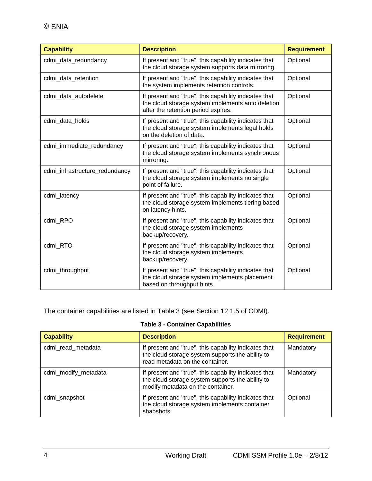| <b>Capability</b>              | <b>Description</b>                                                                                                                                | <b>Requirement</b> |
|--------------------------------|---------------------------------------------------------------------------------------------------------------------------------------------------|--------------------|
| cdmi_data_redundancy           | If present and "true", this capability indicates that<br>the cloud storage system supports data mirroring.                                        | Optional           |
| cdmi_data_retention            | If present and "true", this capability indicates that<br>the system implements retention controls.                                                | Optional           |
| cdmi_data_autodelete           | If present and "true", this capability indicates that<br>the cloud storage system implements auto deletion<br>after the retention period expires. | Optional           |
| cdmi_data_holds                | If present and "true", this capability indicates that<br>the cloud storage system implements legal holds<br>on the deletion of data.              | Optional           |
| cdmi_immediate_redundancy      | If present and "true", this capability indicates that<br>the cloud storage system implements synchronous<br>mirroring.                            | Optional           |
| cdmi_infrastructure_redundancy | If present and "true", this capability indicates that<br>the cloud storage system implements no single<br>point of failure.                       | Optional           |
| cdmi_latency                   | If present and "true", this capability indicates that<br>the cloud storage system implements tiering based<br>on latency hints.                   | Optional           |
| cdmi_RPO                       | If present and "true", this capability indicates that<br>the cloud storage system implements<br>backup/recovery.                                  | Optional           |
| cdmi_RTO                       | If present and "true", this capability indicates that<br>the cloud storage system implements<br>backup/recovery.                                  | Optional           |
| cdmi_throughput                | If present and "true", this capability indicates that<br>the cloud storage system implements placement<br>based on throughput hints.              | Optional           |

The container capabilities are listed in [Table 3](#page-9-0) (see Section 12.1.5 of CDMI).

### **Table 3 - Container Capabilities**

<span id="page-9-0"></span>

| <b>Capability</b>    | <b>Description</b>                                                                                                                             | <b>Requirement</b> |
|----------------------|------------------------------------------------------------------------------------------------------------------------------------------------|--------------------|
| cdmi_read_metadata   | If present and "true", this capability indicates that<br>the cloud storage system supports the ability to<br>read metadata on the container.   | Mandatory          |
| cdmi_modify_metadata | If present and "true", this capability indicates that<br>the cloud storage system supports the ability to<br>modify metadata on the container. | Mandatory          |
| cdmi_snapshot        | If present and "true", this capability indicates that<br>the cloud storage system implements container<br>shapshots.                           | Optional           |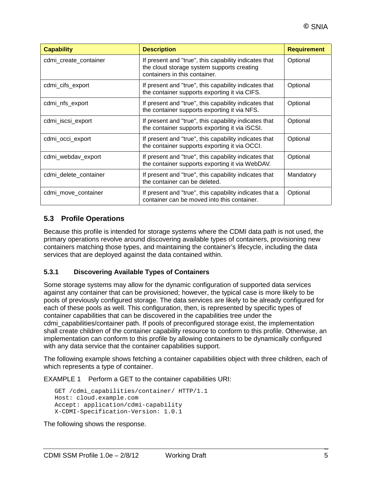| <b>Capability</b>     | <b>Description</b>                                                                                                                   | <b>Requirement</b> |
|-----------------------|--------------------------------------------------------------------------------------------------------------------------------------|--------------------|
| cdmi_create_container | If present and "true", this capability indicates that<br>the cloud storage system supports creating<br>containers in this container. | Optional           |
| cdmi_cifs_export      | If present and "true", this capability indicates that<br>the container supports exporting it via CIFS.                               | Optional           |
| cdmi_nfs_export       | If present and "true", this capability indicates that<br>the container supports exporting it via NFS.                                | Optional           |
| cdmi_iscsi_export     | If present and "true", this capability indicates that<br>the container supports exporting it via iSCSI.                              | Optional           |
| cdmi occi export      | If present and "true", this capability indicates that<br>the container supports exporting it via OCCI.                               | Optional           |
| cdmi_webdav_export    | If present and "true", this capability indicates that<br>the container supports exporting it via WebDAV.                             | Optional           |
| cdmi_delete_container | If present and "true", this capability indicates that<br>the container can be deleted.                                               | Mandatory          |
| cdmi_move_container   | If present and "true", this capability indicates that a<br>container can be moved into this container.                               | Optional           |

### **5.3 Profile Operations**

Because this profile is intended for storage systems where the CDMI data path is not used, the primary operations revolve around discovering available types of containers, provisioning new containers matching those types, and maintaining the container's lifecycle, including the data services that are deployed against the data contained within.

#### **5.3.1 Discovering Available Types of Containers**

Some storage systems may allow for the dynamic configuration of supported data services against any container that can be provisioned; however, the typical case is more likely to be pools of previously configured storage. The data services are likely to be already configured for each of these pools as well. This configuration, then, is represented by specific types of container capabilities that can be discovered in the capabilities tree under the cdmi\_capabilities/container path. If pools of preconfigured storage exist, the implementation shall create children of the container capability resource to conform to this profile. Otherwise, an implementation can conform to this profile by allowing containers to be dynamically configured with any data service that the container capabilities support.

The following example shows fetching a container capabilities object with three children, each of which represents a type of container.

EXAMPLE 1 Perform a GET to the container capabilities URI:

```
GET /cdmi_capabilities/container/ HTTP/1.1
Host: cloud.example.com
Accept: application/cdmi-capability
X-CDMI-Specification-Version: 1.0.1
```
The following shows the response.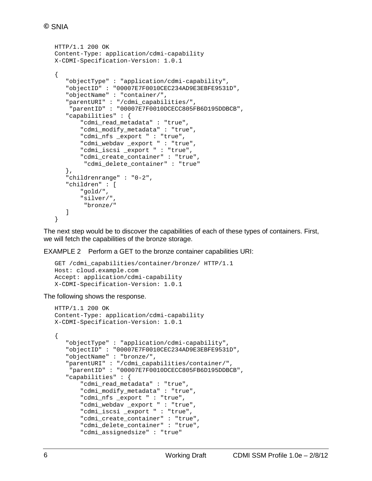```
HTTP/1.1 200 OK
Content-Type: application/cdmi-capability
X-CDMI-Specification-Version: 1.0.1
{
    "objectType" : "application/cdmi-capability",
    "objectID" : "00007E7F0010CEC234AD9E3EBFE9531D",
    "objectName" : "container/",
    "parentURI" : "/cdmi_capabilities/",
     "parentID" : "00007E7F0010DCECC805FB6D195DDBCB",
    "capabilities" : {
        "cdmi_read_metadata" : "true",
        "cdmi_modify_metadata" : "true",
        "cdmi_nfs _export " : "true",
        "cdmi_webdav _export " : "true",
        "cdmi_iscsi _export " : "true",
       "cdmi create container" : "true"
         "cdmi_delete_container" : "true" 
    },
    "childrenrange" : "0-2",
    "children" : [
        "gold/",
        "silver/",
         "bronze/" 
    ]
}
```
The next step would be to discover the capabilities of each of these types of containers. First, we will fetch the capabilities of the bronze storage.

EXAMPLE 2 Perform a GET to the bronze container capabilities URI:

```
GET /cdmi_capabilities/container/bronze/ HTTP/1.1
Host: cloud.example.com
Accept: application/cdmi-capability
X-CDMI-Specification-Version: 1.0.1
```
The following shows the response.

```
HTTP/1.1 200 OK
Content-Type: application/cdmi-capability
X-CDMI-Specification-Version: 1.0.1
{
    "objectType" : "application/cdmi-capability",
    "objectID" : "00007E7F0010CEC234AD9E3EBFE9531D",
    "objectName" : "bronze/",
    "parentURI" : "/cdmi_capabilities/container/",
     "parentID" : "00007E7F0010DCECC805FB6D195DDBCB",
    "capabilities" : {
        "cdmi_read_metadata" : "true",
        "cdmi_modify_metadata" : "true",
        "cdmi_nfs _export " : "true",
        "cdmi_webdav _export " : "true",
       "cdmi iscsi export " : "true",
        "cdmi_create_container" : "true",
        "cdmi_delete_container" : "true",
        "cdmi_assignedsize" : "true"
```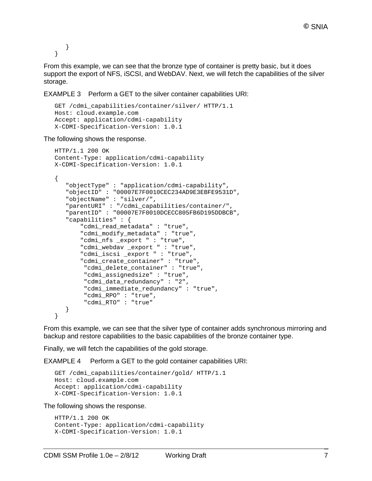```
 }
}
```
From this example, we can see that the bronze type of container is pretty basic, but it does support the export of NFS, iSCSI, and WebDAV. Next, we will fetch the capabilities of the silver storage.

EXAMPLE 3 Perform a GET to the silver container capabilities URI:

```
GET /cdmi_capabilities/container/silver/ HTTP/1.1
Host: cloud.example.com
Accept: application/cdmi-capability
X-CDMI-Specification-Version: 1.0.1
```
The following shows the response.

```
HTTP/1.1 200 OK
Content-Type: application/cdmi-capability
X-CDMI-Specification-Version: 1.0.1
{
    "objectType" : "application/cdmi-capability",
    "objectID" : "00007E7F0010CEC234AD9E3EBFE9531D",
    "objectName" : "silver/",
    "parentURI" : "/cdmi_capabilities/container/",
    "parentID" : "00007E7F0010DCECC805FB6D195DDBCB",
    "capabilities" : {
        "cdmi_read_metadata" : "true",
        "cdmi_modify_metadata" : "true",
        "cdmi_nfs _export " : "true",
        "cdmi_webdav _export " : "true",
        "cdmi_iscsi _export " : "true",
        "cdmi_create_container" : "true",
         "cdmi_delete_container" : "true",
         "cdmi_assignedsize" : "true",
         "cdmi_data_redundancy" : "2",
         "cdmi_immediate_redundancy" : "true",
         "cdmi_RPO" : "true",
         "cdmi_RTO" : "true"
    }
}
```
From this example, we can see that the silver type of container adds synchronous mirroring and backup and restore capabilities to the basic capabilities of the bronze container type.

Finally, we will fetch the capabilities of the gold storage.

EXAMPLE 4 Perform a GET to the gold container capabilities URI:

```
GET /cdmi_capabilities/container/gold/ HTTP/1.1
Host: cloud.example.com
Accept: application/cdmi-capability
X-CDMI-Specification-Version: 1.0.1
```
The following shows the response.

```
HTTP/1.1 200 OK
Content-Type: application/cdmi-capability
X-CDMI-Specification-Version: 1.0.1
```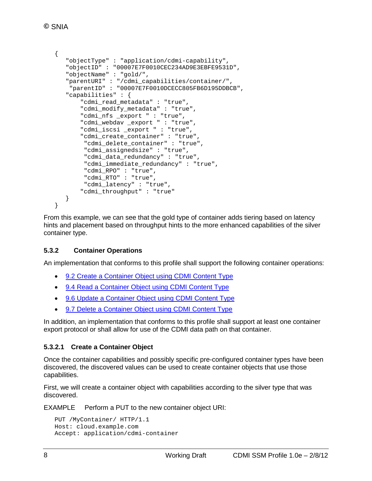```
{
    "objectType" : "application/cdmi-capability",
    "objectID" : "00007E7F0010CEC234AD9E3EBFE9531D",
    "objectName" : "gold/",
    "parentURI" : "/cdmi_capabilities/container/",
     "parentID" : "00007E7F0010DCECC805FB6D195DDBCB",
    "capabilities" : {
        "cdmi_read_metadata" : "true",
       "cdmi modify metadata" : "true",
        "cdmi_nfs _export " : "true",
        "cdmi_webdav _export " : "true",
        "cdmi_iscsi _export " : "true",
        "cdmi_create_container" : "true",
         "cdmi_delete_container" : "true",
         "cdmi_assignedsize" : "true",
        "cdmi data redundancy" : "true",
         "cdmi_immediate_redundancy" : "true",
         "cdmi_RPO" : "true",
         "cdmi_RTO" : "true",
         "cdmi_latency" : "true",
        "cdmi_throughput" : "true"
    }
}
```
From this example, we can see that the gold type of container adds tiering based on latency hints and placement based on throughput hints to the more enhanced capabilities of the silver container type.

#### **5.3.2 Container Operations**

An implementation that conforms to this profile shall support the following container operations:

- 9.2 Create a [Container](http://cdmi.sniacloud.com/CDMI_Spec/9-Container_Objects/9-Container_Objects.htm#TOC_9_2_Create_a_Containerbc-6) Object using CDMI Content Type
- 9.4 Read a [Container](http://cdmi.sniacloud.com/CDMI_Spec/9-Container_Objects/9-Container_Objects.htm#TOC_9_4_Read_a_Containerbc-25) Object using CDMI Content Type
- 9.6 Update a [Container](http://cdmi.sniacloud.com/CDMI_Spec/9-Container_Objects/9-Container_Objects.htm#TOC_9_6_Update_a_Containerbc-43) Object using CDMI Content Type
- 9.7 Delete a [Container](http://cdmi.sniacloud.com/CDMI_Spec/9-Container_Objects/9-Container_Objects.htm#TOC_9_7_Delete_a_Containerbc-52) Object using CDMI Content Type

In addition, an implementation that conforms to this profile shall support at least one container export protocol or shall allow for use of the CDMI data path on that container.

#### **5.3.2.1 Create a Container Object**

Once the container capabilities and possibly specific pre-configured container types have been discovered, the discovered values can be used to create container objects that use those capabilities.

First, we will create a container object with capabilities according to the silver type that was discovered.

EXAMPLE Perform a PUT to the new container object URI:

```
PUT /MyContainer/ HTTP/1.1
Host: cloud.example.com
Accept: application/cdmi-container
```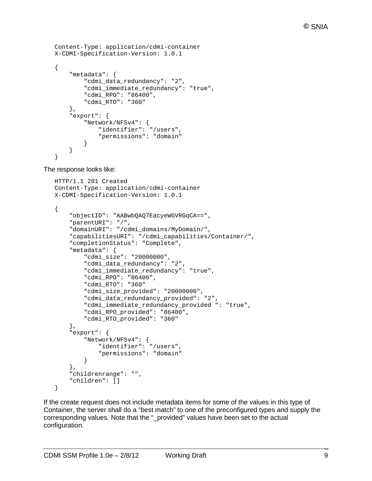```
Content-Type: application/cdmi-container
X-CDMI-Specification-Version: 1.0.1
{
     "metadata": {
         "cdmi_data_redundancy": "2",
         "cdmi_immediate_redundancy": "true",
         "cdmi_RPO": "86400",
         "cdmi_RTO": "360"
     },
     "export": {
         "Network/NFSv4": {
             "identifier": "/users",
              "permissions": "domain"
         }
     }
}
```
The response looks like:

```
HTTP/1.1 201 Created
Content-Type: application/cdmi-container
X-CDMI-Specification-Version: 1.0.1
{
     "objectID": "AABwbQAQ7EacyeWGVRGqCA==",
     "parentURI": "/",
     "domainURI": "/cdmi_domains/MyDomain/",
     "capabilitiesURI": "/cdmi_capabilities/Container/",
     "completionStatus": "Complete",
     "metadata": {
         "cdmi_size": "20000000",
         "cdmi_data_redundancy": "2",
         "cdmi_immediate_redundancy": "true",
         "cdmi_RPO": "86400",
         "cdmi_RTO": "360"
        "cdmi size provided": "20000000",
         "cdmi_data_redundancy_provided": "2",
         "cdmi_immediate_redundancy_provided ": "true",
         "cdmi_RPO_provided": "86400",
         "cdmi_RTO_provided": "360"
     },
     "export": {
         "Network/NFSv4": {
             "identifier": "/users",
             "permissions": "domain"
         }
     },
     "childrenrange": "",
     "children": []
}
```
If the create request does not include metadata items for some of the values in this type of Container, the server shall do a "best match" to one of the preconfigured types and supply the corresponding values. Note that the "\_provided" values have been set to the actual configuration.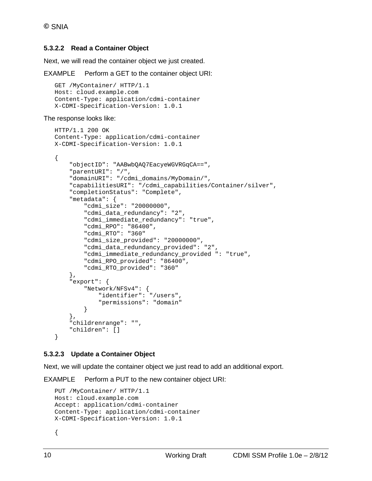#### **5.3.2.2 Read a Container Object**

Next, we will read the container object we just created.

EXAMPLE Perform a GET to the container object URI:

```
GET /MyContainer/ HTTP/1.1
Host: cloud.example.com
Content-Type: application/cdmi-container
X-CDMI-Specification-Version: 1.0.1
```
#### The response looks like:

```
HTTP/1.1 200 OK
Content-Type: application/cdmi-container
X-CDMI-Specification-Version: 1.0.1
{
     "objectID": "AABwbQAQ7EacyeWGVRGqCA==",
     "parentURI": "/",
     "domainURI": "/cdmi_domains/MyDomain/",
     "capabilitiesURI": "/cdmi_capabilities/Container/silver",
     "completionStatus": "Complete",
     "metadata": {
         "cdmi_size": "20000000",
         "cdmi_data_redundancy": "2",
         "cdmi_immediate_redundancy": "true",
         "cdmi_RPO": "86400",
         "cdmi_RTO": "360"
         "cdmi_size_provided": "20000000",
         "cdmi_data_redundancy_provided": "2",
         "cdmi_immediate_redundancy_provided ": "true",
         "cdmi_RPO_provided": "86400",
         "cdmi_RTO_provided": "360"
     },
     "export": {
         "Network/NFSv4": {
             "identifier": "/users",
         "permissions": "domain"
 }
     },
     "childrenrange": "",
     "children": []
}
```
#### **5.3.2.3 Update a Container Object**

Next, we will update the container object we just read to add an additional export.

EXAMPLE Perform a PUT to the new container object URI:

```
PUT /MyContainer/ HTTP/1.1
Host: cloud.example.com
Accept: application/cdmi-container
Content-Type: application/cdmi-container
X-CDMI-Specification-Version: 1.0.1
```
{